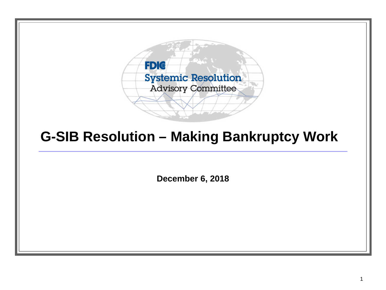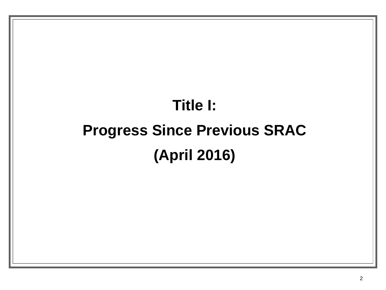## **Title I: Progress Since Previous SRAC (April 2016)**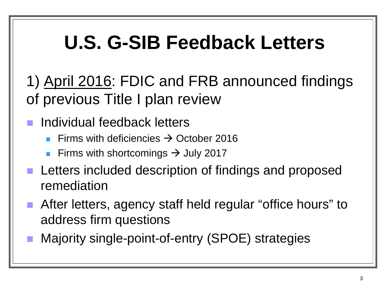## **U.S. G-SIB Feedback Letters**

1) April 2016: FDIC and FRB announced findings of previous Title I plan review

- **Individual feedback letters** 
	- Firms with deficiencies  $\rightarrow$  October 2016
	- **Firms with shortcomings**  $\rightarrow$  **July 2017**
- **Letters included description of findings and proposed** remediation
- After letters, agency staff held regular "office hours" to address firm questions
- Majority single-point-of-entry (SPOE) strategies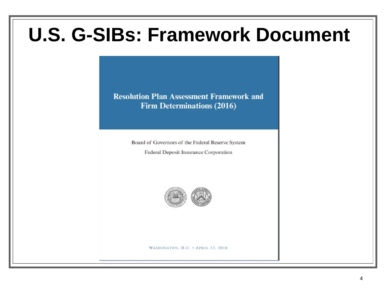## **U.S. G-SIBs: Framework Document**

**Resolution Plan Assessment Framework and Firm Determinations (2016)** 

Board of Governors of the Federal Reserve System

Federal Deposit Insurance Corporation

![](_page_3_Picture_4.jpeg)

WASHINGTON, D.C. . APRIL 13, 2016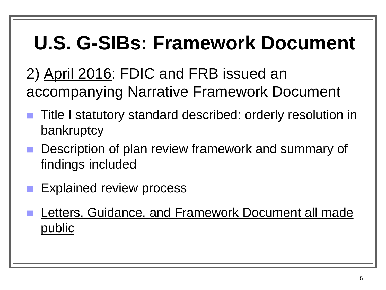## **U.S. G-SIBs: Framework Document**

2) April 2016: FDIC and FRB issued an accompanying Narrative Framework Document

- **Title I statutory standard described: orderly resolution in** bankruptcy
- **Description of plan review framework and summary of** findings included
- **Explained review process**
- Letters, Guidance, and Framework Document all made public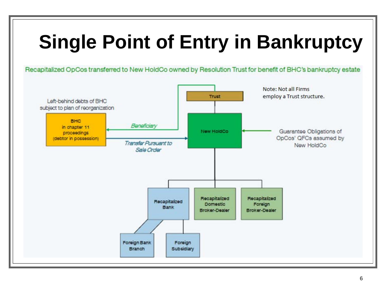# **Single Point of Entry in Bankruptcy**

Recapitalized OpCos transferred to New HoldCo owned by Resolution Trust for benefit of BHC's bankruptcy estate

![](_page_5_Figure_2.jpeg)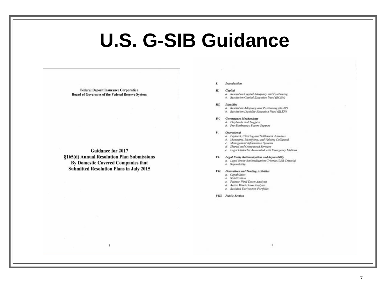## **U.S. G-SIB Guidance**

**Federal Deposit Insurance Corporation Board of Governors of the Federal Reserve System** 

**Guidance for 2017** §165(d) Annual Resolution Plan Submissions **By Domestic Covered Companies that Submitted Resolution Plans in July 2015** 

L Introduction

#### II. Capital

a. Resolution Capital Adequacy and Positioning h. Resolution Capital Execution Need (RCEN)

#### III. Liquidity

- a. Resolution Adequacy and Positioning (RLAP)
- h. Resolution Liquidity Execution Need (RLEN)

#### IV. Governance Mechanisms

- a. Playbooks and Triggers
- b. Pre-Bankruptcy Parent Support

### V. Operational

- a. Payment, Clearing and Settlement Activities
- b. Managing, Identifying, and Valuing Collateral
- c. Management Information Systems
- d Shared and Outsourced Services
- e. Legal Obstacles Associated with Emergency Motions

 $\sqrt{2}$ 

### VI. Legal Entity Rationalization and Separability

a. Legal Entity Rationalization Criteria (LER Criteria) b. Separability

### VII. Derivatives and Trading Activities

- a. Capabilities
- b. Stabilization c. Passive Wind-Down Analysis
- d. Active Wind-Down Analysis
- e. Residual Derivatives Portfolio

VIII. Public Section

7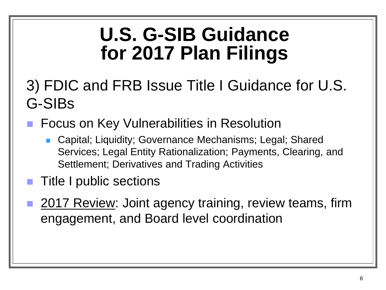## **U.S. G-SIB Guidance for 2017 Plan Filings**

## 3) FDIC and FRB Issue Title I Guidance for U.S. G-SIBs

- Focus on Key Vulnerabilities in Resolution
	- Capital; Liquidity; Governance Mechanisms; Legal; Shared Services; Legal Entity Rationalization; Payments, Clearing, and Settlement; Derivatives and Trading Activities
- **Title I public sections**
- 2017 Review: Joint agency training, review teams, firm engagement, and Board level coordination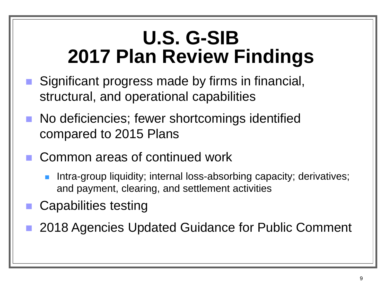## **U.S. G-SIB 2017 Plan Review Findings**

- Significant progress made by firms in financial, structural, and operational capabilities
- No deficiencies; fewer shortcomings identified compared to 2015 Plans
- Common areas of continued work
	- Intra-group liquidity; internal loss-absorbing capacity; derivatives; and payment, clearing, and settlement activities
- **Capabilities testing**
- 2018 Agencies Updated Guidance for Public Comment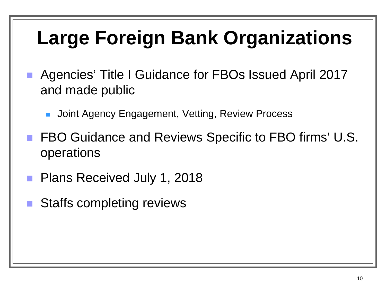# **Large Foreign Bank Organizations**

- Agencies' Title I Guidance for FBOs Issued April 2017 and made public
	- Joint Agency Engagement, Vetting, Review Process
- FBO Guidance and Reviews Specific to FBO firms' U.S. operations
- **Plans Received July 1, 2018**
- Staffs completing reviews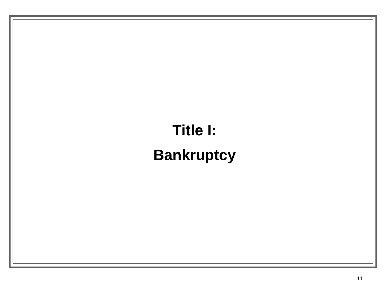## **Title I: Bankruptcy**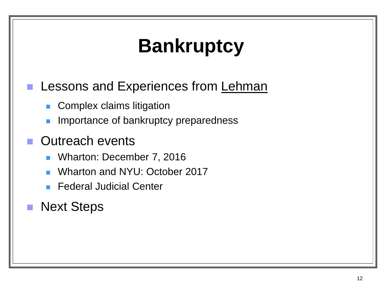# **Bankruptcy**

### **Lessons and Experiences from Lehman**

- **Complex claims litigation**
- Importance of bankruptcy preparedness

### Outreach events

- **Number 7, 2016**
- Wharton and NYU: October 2017
- **Federal Judicial Center**

### **Next Steps**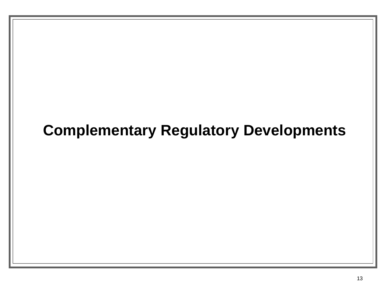### **Complementary Regulatory Developments**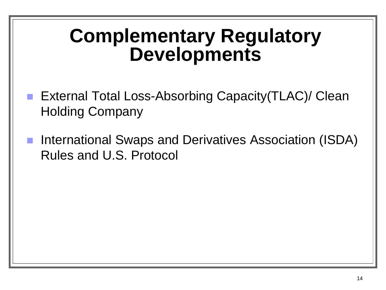## **Complementary Regulatory Developments**

- External Total Loss-Absorbing Capacity(TLAC)/ Clean Holding Company
- International Swaps and Derivatives Association (ISDA) Rules and U.S. Protocol